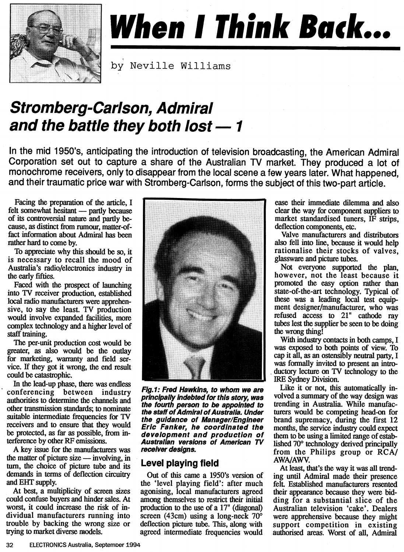

# **When I Think Back...**

by Neville Williams

## **Stromberg-Carlson, Admiral and the battle they both lost —1**

**In the mid 1950's, anticipating the introduction of television broadcasting, the American Admiral Corporation set out to capture a share of the Australian TV market. They produced a lot of monochrome receivers, only to disappear from the local scene a few years later. What happened, and their traumatic price war with Stromberg-Carlson, forms the subject of this two-part article.** 

**Facing the preparation of the article, I felt somewhat hesitant — partly because of its controversial nature and partly because, as distinct from rumour, matter-offact information about Admiral has been rather hard to come by.** 

**To appreciate why this should be so, it is necessary to recall the mood of Australia's radio/electronics industry in the early fifties.** 

**Faced with the prospect of launching into TV receiver production, established local radio manufacturers were apprehensive, to say the least. TV production would involve expanded facilities, more complex technology and a higher level of staff training.** 

**The per-unit production cost would be greater, as also would be the outlay for marketing, warranty and field service. If they got it wrong, the end result could be catastrophic.** 

**In the lead-up phase, there was endless conferencing between industry authorities to determine the channels and other transmission standards; to nominate suitable intermediate frequencies for TV receivers and to ensure that they would be protected, as far as possible, from interference by other RF emissions.** 

**A key issue for the manufacturers was the matter of picture size — involving, in turn, the choice of picture tube and its demands in terms of deflection circuitry and EHT supply.** 

**At best, a multiplicity of screen sizes could confuse buyers and hinder sales. At worst, it could increase the risk of individual manufacturers running into trouble by backing the wrong size or trying to market diverse models.** 



**Fig.1: Fred Hawkins, to whom we are principally indebted for this story, was the fourth person to be appointed to the staff of Admiral of Australia. Under the guidance of Manager/Engineer Eric Fanker, he coordinated the development and production of Australian versions of American TV receiver designs.** 

#### **Level playing field**

**Out of this came a 1950's version of the 'level playing field': after much agonising, local manufacturers agreed among themselves to restrict their initial**  prod**uction to the use of a 17" (diagonal) screen (43cm) using a long-neck 70° deflection picture tube. This, along with agreed intermediate frequencies would** 

**ease their immediate dilemma and also clear the way for component suppliers to market standardised tuners, IF strips, deflection components, etc.** 

**Valve manufacturers and distributors also fell into line, because it would help rationalise their stocks of valves, glassware and picture tubes.** 

**Not everyone supported the plan, however, not the least because it promoted the easy option rather than state-of-the-art technology. Typical of these was a leading local test equipment designer/manufacturer, who was refused access to 21" cathode ray tubes lest the supplier be seen to be doing the wrong thing!** 

**With industry contacts in both camps, I was exposed to both points of view. To cap it all, as an ostensibly neutral party, I was formally invited to present an introductory lecture on TV technology to the IRE Sydney Division.** 

**Like it or not, this automatically involved a summary of the way design was trending in Australia. While manufacturers would be competing head-on for brand supremacy, during the first 12 months, the service industry could expect them to be using a limited range of established 70° technology derived principally from the Philips group or RCA/ AWA/AWV.** 

**At least, that's the way it was all trending until Admiral made their presence felt. Established manufacturers resented their appearance because they were bidding for a substantial slice of the Australian television 'cake'. Dealers were apprehensive because they might support competition in existing authorised areas. Worst of all, Admiral**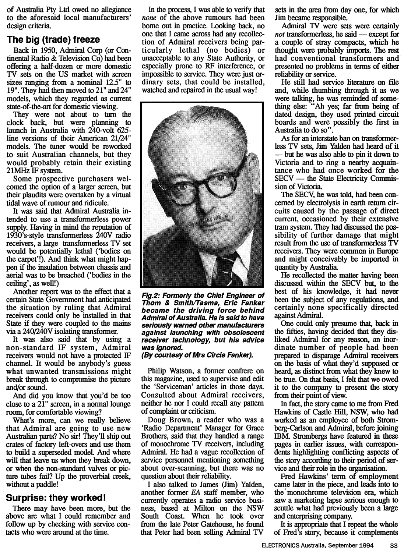**of Australia Pty Ltd owed no allegiance to the aforesaid local manufacturers' design criteria.** 

#### **The big (trade) freeze**

**Back in 1950, Admiral Corp (or Continental Radio & Television Co) had been offering a half-dozen or more domestic TV sets on the US market with screen sizes ranging from a nominal 12.5" to 19". They had then moved to 21" and 24" models, which they regarded as current state-of-the-art for domestic viewing.** 

**They were not about to turn the clock back, but were planning to launch in Australia with 240-volt 625 line versions of their American 21/24" models. The tuner would be reworked to suit Australian channels, but they would probably retain their existing 21MHz IF system.** 

**Some prospective purchasers welcomed the option of a larger screen, but their plaudits were overtaken by a virtual tidal wave of rumour and ridicule.** 

**It was said that Admiral Australia intended to use a transformerless power supply. Having in mind the reputation of 1930's-style transformerless 240V radio receivers, a large transformerless TV set would be potentially lethal (`bodies on**  the carpet'!). And think what might hap**pen if the insulation between chassis and aerial was to be breached (`bodies in the ceiling', as well!)** 

**Another report was to the effect that a certain State Government had anticipated the situation by ruling that Admiral receivers could only be installed in that State if they were coupled to the mains via a 240/240V isolating transformer.** 

**It was also said that by using a non-standard IF system, Admiral receivers would not have a protected IF channel. It would be anybody's guess what unwanted transmissions might break through to compromise the picture and/or sound.** 

**And did you know that you'd be too close to a 21" screen, in a normal lounge room, for comfortable viewing?** 

**What's more, can we really believe that Admiral are going to use new Australian parts? No sir! They'll ship out crates of factory left-overs and use them to build a superseded model. And where will that leave us when they break down, or when the non-standard valves or picture tubes fail? Up the proverbial creek, without a paddle!** 

#### **Surprise: they worked!**

**There may have been more, but the above are what I could remember and follow up by checking with service contacts who were around at the time.** 

**In the process, I was able to verify that**  *none* **of the above rumours had been borne out in practice. Looking back, no one that I came across had any recollection of Admiral receivers being particularly lethal (no bodies) or unacceptable to any State Authority, or especially prone to RF interference, or impossible to service. They were just ordinary sets, that could be installed, watched and repaired in the usual way!** 



**Fig.2: Formerly the Chief Engineer of Thom & Smith/Tasma, Eric Fanker became the driving force behind Admiral of Australia. He is said to have seriously warned other manufacturers against launching with obsolescent receiver technology, but his advice was ignored.** 

**(By courtesy of Mrs Circie Fanker).** 

**Philip Watson, a former confrere on this magazine, used to supervise and edit the 'Serviceman' articles in those days. Consulted about Admiral receivers, neither he nor I could recall any pattern of complaint or criticism.** 

**Doug Brown, a reader who was a `Radio Department' Manager for Grace Brothers, said that they handled a range of monochrome TV receivers, including Admiral. He had a vague recollection of service personnel mentioning something about over-scanning, but there was no question about their reliability.** 

**I also talked to James (Jim) Yalden, another former** *EA* **staff member, who currently operates a radio service business, based at Milton on the NSW South Coast. When he took over from the late Peter Gatehouse, he found that Peter had been selling Admiral TV** 

**sets in the area from day one, for which Jim became responsible.** 

**Admiral TV were sets were certainly**  *not* **transformerless, he said — except for a couple of stray compacts, which he thought were probably imports. The rest had conventional transformers and presented no problems in terms of either reliability or service.** 

**He still had service literature on file and, while thumbing through it as we were talking, he was reminded of something else: "Ah yes; far from being of dated design, they used printed circuit boards and were possibly the first in Australia to do so".** 

**As for an interstate ban on transformerless TV sets, Jim Yalden had heard of it — but he was also able to pin it down to Victoria and to ring a nearby acquaintance who had once worked for the SECV — the State Electricity Commission of Victoria.** 

**The SECV, he was told, had been concerned by electrolysis in earth return circuits caused by the passage of direct current, occasioned by their extensive tram system. They had discussed the possibility of further damage that might result from the use of transformerless TV receivers. They were common in Europe and might conceivably be imported in quantity by Australia.** 

**He recollected the matter having been discussed within the SECV but, to the best of his knowledge, it had never been the subject of any regulations, and certainly none specifically directed against Admiral.** 

**One could only presume that, back in the fifties, having decided that they disliked Admiral for any reason, an inordinate number of people had been prepared to disparage Admiral receivers on the basis of what they'd supposed or heard, as distinct from what they knew to be true. On that basis, I felt that we owed it to the company to present the story from their point of view.** 

**In fact, the story came to me from Fred Hawkins of Castle Hill, NSW, who had worked as an employee of both Stromberg-Carlson and Admiral, before joining IBM. Strombergs have featured in these pages in earlier issues, with correspondents highlighting conflicting aspects of the story according to their period of service and their role in the organisation.** 

**Fred Hawkins' term of employment came later in the piece, and leads into to the monochrome television era, which saw a marketing lapse serious enough to scuttle what had previously been a large and enterprising company.** 

**It is appropriate that I repeat the whole of Fred's story, because it complements**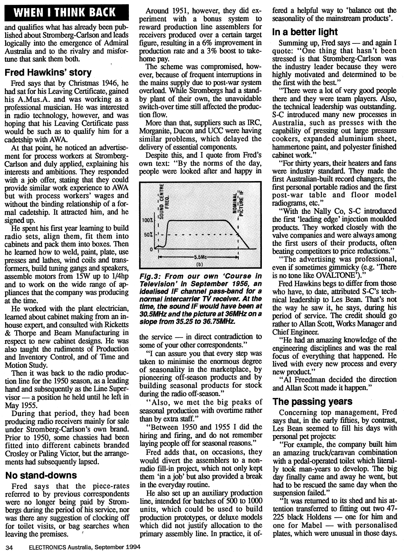### **WHEN I THINK BACK**

**and qualifies what has already been published about Stromberg-Carlson and leads logically into the emergence of Admiral Australia and to the rivalry and misfortune that sank them both.** 

#### **Fred Hawkins' story**

**Fred says that by Christmas 1946, he had sat for his Leaving Certificate, gained his A.Mus.A. and was working as a professional musician. He was interested in radio technology, however, and was hoping that his Leaving Certificate pass would be such as to qualify him for a cadetship with AWA.** 

**At that point, he noticed an advertisement for process workers at Stromberg-Carlson and duly applied, explaining his interests and ambitions. They responded with a job offer, stating that they could provide similar work experience to AWA but with process workers' wages and without the binding relationship of a formal cadetship. It attracted him, and he signed up.** 

**He spent his first year learning to build radio sets, align them, fit them into cabinets and pack them into boxes. Then he learned how to weld, paint, plate, use presses and lathes, wind coils and transformers, build tuning gangs and speakers, assemble motors from 15W up to 1/4hp and to work on the wide range of appliances that the company was producing at the time.** 

**He worked with the plant electrician, learned about cabinet making from an inhouse expert, and consulted with Ricketts & Thorpe and Beam Manufacturing in respect to new cabinet designs. He was also taught the rudiments of Production and Inventory Control, and of Time and Motion Study.** 

**Then it was back to the radio production line for the 1950 season, as a leading hand and subsequently as the Line Supervisor — a position he held until he left in May 1955.** 

**During that period, they had been producing radio receivers mainly for sale under Stromberg-Carlson's own brand. Prior to 1950, some chassies had been fitted into different cabinets branded Crosley or Paling Victor, but the arrangements had subsequently lapsed.** 

#### **No stand-downs**

**Fred says that the piece-rates referred to by previous correspondents were no longer being paid by Strombergs during the period of his service, nor was there any suggestion of clocking off for toilet visits, or bag searches when leaving the premises.** 

**Around 1951, however, they did experiment with a bonus system to reward production line assemblers for receivers produced over a certain target figure, resulting in a 6% improvement in production rate and a 3% boost to takehome pay.** 

**The scheme was compromised, however, because of frequent interruptions in the mains supply due to post-war system overload. While Strombergs had a standby plant of their own, the unavoidable switch-over time still affected the production flow.** 

**More than that, suppliers such as IRC, Morganite, Ducon and UCC were having similar problems, which delayed the delivery of essential components.** 

**Despite this, and I quote from Fred's own text: "By the norms of the day, people were looked after and happy in** 



**Fig.3: From our own 'Course in Television' in September 1956, an idealised IF channel pass-band for a normal intercarrier TV receiver. At the time, the sound IF would have been at 30.5MHz and the picture at 36MHz on a slope from 35.25 to 36.75MHz.** 

**the service — in direct contradiction to some of your other correspondents."** 

**"I can assure you that every step was taken to minimise the enormous degree of seasonality in the marketplace, by pioneering off-season products and by building seasonal products for stock during the radio off-season."** 

**"Also, we met the big peaks of seasonal production with overtime rather than by extra staff."** 

**"Between 1950 and 1955 I did the hiring and firing, and do not remember laying people off for seasonal reasons."** 

**Fred adds that, on occasions, they would divert the assemblers to a nonradio fill-in project, which not only kept them 'in a job' but also provided a break in the everyday routine.** 

**He also set up an auxiliary production line, intended for batches of 500 to 1000 units, which could be used to build production prototypes, or deluxe models which did not justify allocation to the primary assembly line. In practice, it of-** **fered a helpful way to 'balance out the seasonality of the mainstream products'.** 

#### **In a better light**

**Summing up, Fred says — and again I quote: "One thing that hasn't been stressed is that Stromberg-Carlson was the industry leader because they were highly motivated and determined to be the first with the best."** 

**"There were a lot of very good people there and they were team players. Also, the technical leadership was outstanding. S-C introduced many new processes in Australia, such as presses with the capability of pressing out large pressure cookers, expanded aluminium sheet, hammertone paint, and polyester finished cabinet work."** 

**"For thirty years, their heaters and fans were industry standard. They made the first Australian-built record changers, the first personal portable radios and the first post-war table and floor model radiograms, etc."** 

**"With the Nally Co, S-C introduced the first 'leading edge' injection moulded products. They worked closely with the valve companies and were always among the first users of their products, often beating competitors to price reductions."** 

**"The advertising was professional, even if sometimes gimmicky (e.g. 'There**  is no tone like OVALTONE<sup>'</sup>).

**Fred Hawkins begs to differ from those who have, to date, attributed S-C's technical leadership to Les Bean. That's not the way he saw it, he says, during his period of service. The credit should go rather to Allan Scott, Works Manager and Chief Engineer.** 

**"He had an amazing knowledge of the engineering disciplines and was the real focus of everything that happened. He lived with every new process and every new product."** 

**"Al Freedman decided the direction and Allan Scott made it happen."** 

#### **The passing years**

**Concerning top management, Fred says that, in the early fifties, by contrast, Les Bean seemed to fill his days with personal pet projects:** 

**"For example, the company built him an amazing truck/caravan combination with a pedal-operated toilet which literally took man-years to develop. The big day finally came and away he went, but had to be rescued the same day when the suspension failed."** 

**"It was returned to its shed and his attention transferred to fitting out two 47- 225 black Hoidens — one for him and one for Mabel — with personalised plates, which were unusual in those days.**